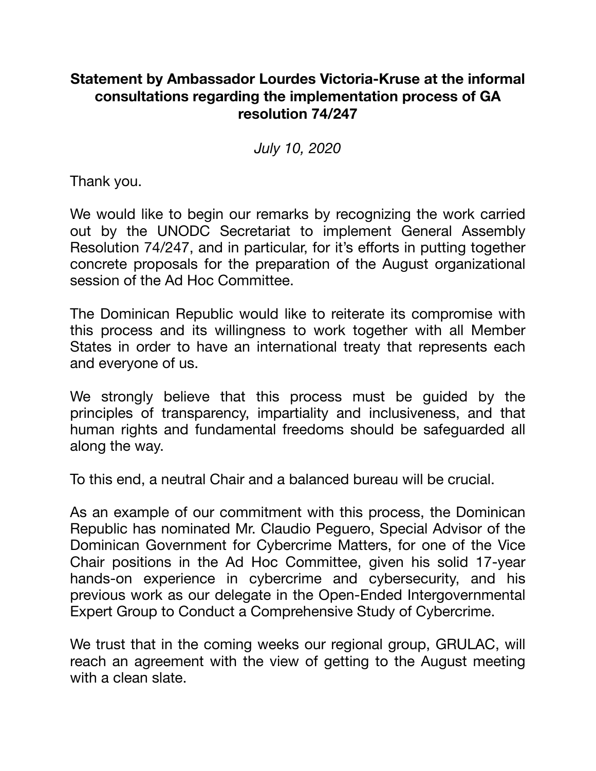## **Statement by Ambassador Lourdes Victoria-Kruse at the informal consultations regarding the implementation process of GA resolution 74/247**

*July 10, 2020* 

Thank you.

We would like to begin our remarks by recognizing the work carried out by the UNODC Secretariat to implement General Assembly Resolution 74/247, and in particular, for it's efforts in putting together concrete proposals for the preparation of the August organizational session of the Ad Hoc Committee.

The Dominican Republic would like to reiterate its compromise with this process and its willingness to work together with all Member States in order to have an international treaty that represents each and everyone of us.

We strongly believe that this process must be guided by the principles of transparency, impartiality and inclusiveness, and that human rights and fundamental freedoms should be safeguarded all along the way.

To this end, a neutral Chair and a balanced bureau will be crucial.

As an example of our commitment with this process, the Dominican Republic has nominated Mr. Claudio Peguero, Special Advisor of the Dominican Government for Cybercrime Matters, for one of the Vice Chair positions in the Ad Hoc Committee, given his solid 17-year hands-on experience in cybercrime and cybersecurity, and his previous work as our delegate in the Open-Ended Intergovernmental Expert Group to Conduct a Comprehensive Study of Cybercrime.

We trust that in the coming weeks our regional group, GRULAC, will reach an agreement with the view of getting to the August meeting with a clean slate.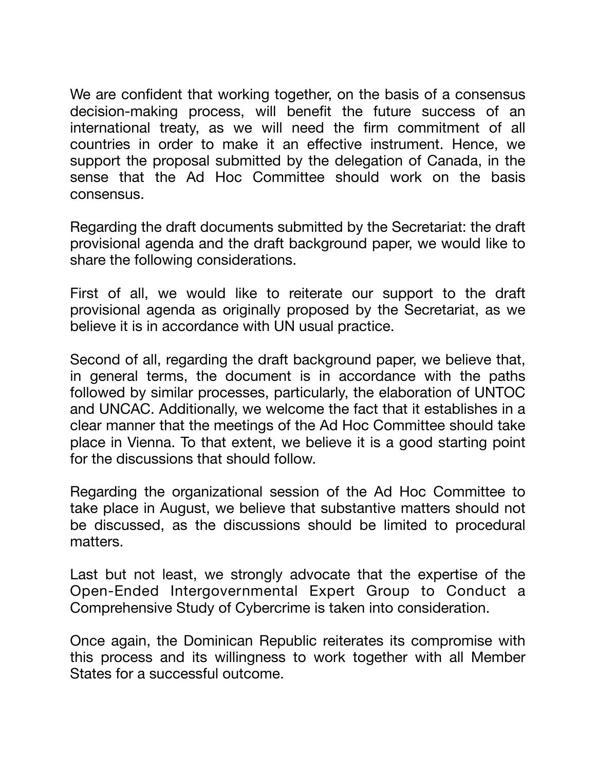We are confident that working together, on the basis of a consensus decision-making process, will benefit the future success of an international treaty, as we will need the firm commitment of all countries in order to make it an effective instrument. Hence, we support the proposal submitted by the delegation of Canada, in the sense that the Ad Hoc Committee should work on the basis consensus.

Regarding the draft documents submitted by the Secretariat: the draft provisional agenda and the draft background paper, we would like to share the following considerations.

First of all, we would like to reiterate our support to the draft provisional agenda as originally proposed by the Secretariat, as we believe it is in accordance with UN usual practice.

Second of all, regarding the draft background paper, we believe that, in general terms, the document is in accordance with the paths followed by similar processes, particularly, the elaboration of UNTOC and UNCAC. Additionally, we welcome the fact that it establishes in a clear manner that the meetings of the Ad Hoc Committee should take place in Vienna. To that extent, we believe it is a good starting point for the discussions that should follow.

Regarding the organizational session of the Ad Hoc Committee to take place in August, we believe that substantive matters should not be discussed, as the discussions should be limited to procedural matters.

Last but not least, we strongly advocate that the expertise of the Open-Ended Intergovernmental Expert Group to Conduct a Comprehensive Study of Cybercrime is taken into consideration.

Once again, the Dominican Republic reiterates its compromise with this process and its willingness to work together with all Member States for a successful outcome.